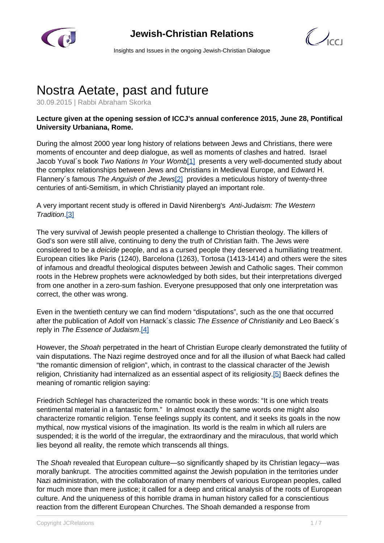

## **Jewish-Christian Relations**

 $\mathcal{C}$ 

Insights and Issues in the ongoing Jewish-Christian Dialogue

## Nostra Aetate, past and future

30.09.2015 | Rabbi Abraham Skorka

## **Lecture given at the opening session of ICCJ's annual conference 2015, June 28, Pontifical University Urbaniana, Rome.**

During the almost 2000 year long history of relations between Jews and Christians, there were moments of encounter and deep dialogue, as well as moments of clashes and hatred. Israel Jacob Yuval's book Two Nations In Your Womb[1] presents a very well-documented study about the complex relationships between Jews and Christians in Medieval Europe, and Edward H. Flannery's famous The Anguish of the Jews<sup>[2]</sup> provides a meticulous history of twenty-three centuries of anti-Semitism, in which Christianity played an important role.

A very important recent study is offered in David Nirenberg's Anti-Judaism: The Western Tradition.[3]

The very survival of Jewish people presented a challenge to Christian theology. The killers of God's son were still alive, continuing to deny the truth of Christian faith. The Jews were considered to be a deicide people, and as a cursed people they deserved a humiliating treatment. European cities like Paris (1240), Barcelona (1263), Tortosa (1413-1414) and others were the sites of infamous and dreadful theological disputes between Jewish and Catholic sages. Their common roots in the Hebrew prophets were acknowledged by both sides, but their interpretations diverged from one another in a zero-sum fashion. Everyone presupposed that only one interpretation was correct, the other was wrong.

Even in the twentieth century we can find modern "disputations", such as the one that occurred after the publication of Adolf von Harnack's classic The Essence of Christianity and Leo Baeck's reply in The Essence of Judaism.[4]

However, the Shoah perpetrated in the heart of Christian Europe clearly demonstrated the futility of vain disputations. The Nazi regime destroyed once and for all the illusion of what Baeck had called "the romantic dimension of religion", which, in contrast to the classical character of the Jewish religion, Christianity had internalized as an essential aspect of its religiosity.<sup>[5]</sup> Baeck defines the meaning of romantic religion saying:

Friedrich Schlegel has characterized the romantic book in these words: "It is one which treats sentimental material in a fantastic form." In almost exactly the same words one might also characterize romantic religion. Tense feelings supply its content, and it seeks its goals in the now mythical, now mystical visions of the imagination. Its world is the realm in which all rulers are suspended; it is the world of the irregular, the extraordinary and the miraculous, that world which lies beyond all reality, the remote which transcends all things.

The Shoah revealed that European culture—so significantly shaped by its Christian legacy—was morally bankrupt. The atrocities committed against the Jewish population in the territories under Nazi administration, with the collaboration of many members of various European peoples, called for much more than mere justice; it called for a deep and critical analysis of the roots of European culture. And the uniqueness of this horrible drama in human history called for a conscientious reaction from the different European Churches. The Shoah demanded a response from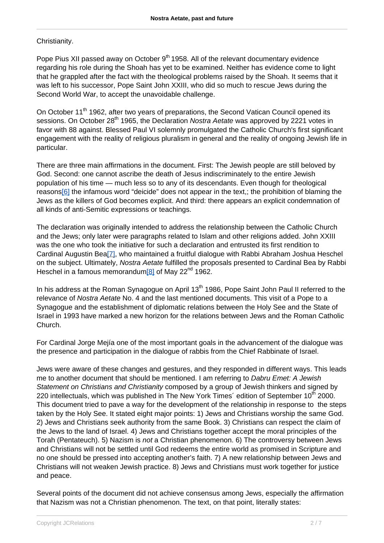## Christianity.

Pope Pius XII passed away on October  $9<sup>th</sup>$  1958. All of the relevant documentary evidence regarding his role during the Shoah has yet to be examined. Neither has evidence come to light that he grappled after the fact with the theological problems raised by the Shoah. It seems that it was left to his successor, Pope Saint John XXIII, who did so much to rescue Jews during the Second World War, to accept the unavoidable challenge.

On October 11<sup>th</sup> 1962, after two years of preparations, the Second Vatican Council opened its sessions. On October 28<sup>th</sup> 1965, the Declaration Nostra Aetate was approved by 2221 votes in favor with 88 against. Blessed Paul VI solemnly promulgated the Catholic Church's first significant engagement with the reality of religious pluralism in general and the reality of ongoing Jewish life in particular.

There are three main affirmations in the document. First: The Jewish people are still beloved by God. Second: one cannot ascribe the death of Jesus indiscriminately to the entire Jewish population of his time — much less so to any of its descendants. Even though for theological reasons[6] the infamous word "deicide" does not appear in the text,; the prohibition of blaming the Jews as the killers of God becomes explicit. And third: there appears an explicit condemnation of all kinds of anti-Semitic expressions or teachings.

The declaration was originally intended to address the relationship between the Catholic Church and the Jews; only later were paragraphs related to Islam and other religions added. John XXIII was the one who took the initiative for such a declaration and entrusted its first rendition to Cardinal Augustin Bea<sup>[7]</sup>, who maintained a fruitful dialogue with Rabbi Abraham Joshua Heschel on the subject. Ultimately, Nostra Aetate fulfilled the proposals presented to Cardinal Bea by Rabbi Heschel in a famous memorandum<sup>[8]</sup> of Mav 22<sup>nd</sup> 1962.

In his address at the Roman Synagogue on April 13<sup>th</sup> 1986, Pope Saint John Paul II referred to the relevance of Nostra Aetate No. 4 and the last mentioned documents. This visit of a Pope to a Synagogue and the establishment of diplomatic relations between the Holy See and the State of Israel in 1993 have marked a new horizon for the relations between Jews and the Roman Catholic Church.

For Cardinal Jorge Mejía one of the most important goals in the advancement of the dialogue was the presence and participation in the dialogue of rabbis from the Chief Rabbinate of Israel.

Jews were aware of these changes and gestures, and they responded in different ways. This leads me to another document that should be mentioned. I am referring to Dabru Emet: A Jewish Statement on Christians and Christianity composed by a group of Jewish thinkers and signed by 220 intellectuals, which was published in The New York Times' edition of September 10<sup>th</sup> 2000. This document tried to pave a way for the development of the relationship in response to the steps taken by the Holy See. It stated eight major points: 1) Jews and Christians worship the same God. 2) Jews and Christians seek authority from the same Book. 3) Christians can respect the claim of the Jews to the land of Israel. 4) Jews and Christians together accept the moral principles of the Torah (Pentateuch). 5) Nazism is not a Christian phenomenon. 6) The controversy between Jews and Christians will not be settled until God redeems the entire world as promised in Scripture and no one should be pressed into accepting another's faith. 7) A new relationship between Jews and Christians will not weaken Jewish practice. 8) Jews and Christians must work together for justice and peace.

Several points of the document did not achieve consensus among Jews, especially the affirmation that Nazism was not a Christian phenomenon. The text, on that point, literally states: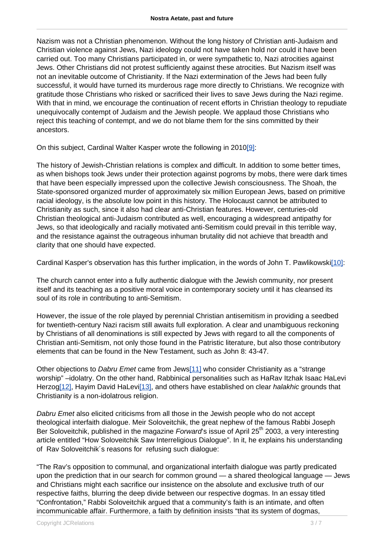Nazism was not a Christian phenomenon. Without the long history of Christian anti-Judaism and Christian violence against Jews, Nazi ideology could not have taken hold nor could it have been carried out. Too many Christians participated in, or were sympathetic to, Nazi atrocities against Jews. Other Christians did not protest sufficiently against these atrocities. But Nazism itself was not an inevitable outcome of Christianity. If the Nazi extermination of the Jews had been fully successful, it would have turned its murderous rage more directly to Christians. We recognize with gratitude those Christians who risked or sacrificed their lives to save Jews during the Nazi regime. With that in mind, we encourage the continuation of recent efforts in Christian theology to repudiate unequivocally contempt of Judaism and the Jewish people. We applaud those Christians who reject this teaching of contempt, and we do not blame them for the sins committed by their ancestors.

On this subject, Cardinal Walter Kasper wrote the following in 2010[9]:

The history of Jewish-Christian relations is complex and difficult. In addition to some better times, as when bishops took Jews under their protection against pogroms by mobs, there were dark times that have been especially impressed upon the collective Jewish consciousness. The Shoah, the State-sponsored organized murder of approximately six million European Jews, based on primitive racial ideology, is the absolute low point in this history. The Holocaust cannot be attributed to Christianity as such, since it also had clear anti-Christian features. However, centuries-old Christian theological anti-Judaism contributed as well, encouraging a widespread antipathy for Jews, so that ideologically and racially motivated anti-Semitism could prevail in this terrible way, and the resistance against the outrageous inhuman brutality did not achieve that breadth and clarity that one should have expected.

Cardinal Kasper's observation has this further implication, in the words of John T. Pawlikowski[10]:

The church cannot enter into a fully authentic dialogue with the Jewish community, nor present itself and its teaching as a positive moral voice in contemporary society until it has cleansed its soul of its role in contributing to anti-Semitism.

However, the issue of the role played by perennial Christian antisemitism in providing a seedbed for twentieth-century Nazi racism still awaits full exploration. A clear and unambiguous reckoning by Christians of all denominations is still expected by Jews with regard to all the components of Christian anti-Semitism, not only those found in the Patristic literature, but also those contributory elements that can be found in the New Testament, such as John 8: 43-47.

Other objections to *Dabru Emet* came from Jews[11] who consider Christianity as a "strange" worship" –idolatry. On the other hand, Rabbinical personalities such as HaRav Itzhak Isaac HaLevi Herzog[12], Hayim David HaLevi[13], and others have established on clear halakhic grounds that Christianity is a non-idolatrous religion.

Dabru Emet also elicited criticisms from all those in the Jewish people who do not accept theological interfaith dialogue. Meir Soloveitchik, the great nephew of the famous Rabbi Joseph Ber Soloveitchik, published in the magazine *Forward*'s issue of April 25<sup>th</sup> 2003, a very interesting article entitled "How Soloveitchik Saw Interreligious Dialogue". In it, he explains his understanding of Rav Soloveitchik´s reasons for refusing such dialogue:

"The Rav's opposition to communal, and organizational interfaith dialogue was partly predicated upon the prediction that in our search for common ground — a shared theological language — Jews and Christians might each sacrifice our insistence on the absolute and exclusive truth of our respective faiths, blurring the deep divide between our respective dogmas. In an essay titled "Confrontation," Rabbi Soloveitchik argued that a community's faith is an intimate, and often incommunicable affair. Furthermore, a faith by definition insists "that its system of dogmas,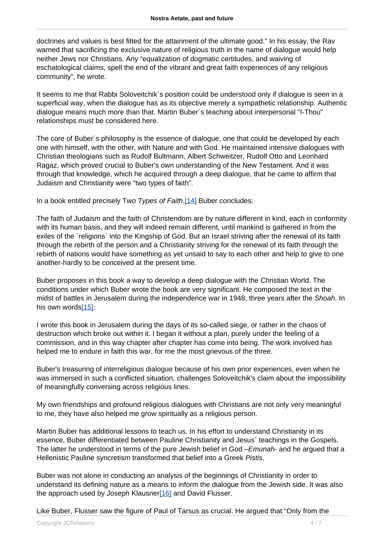doctrines and values is best fitted for the attainment of the ultimate good." In his essay, the Rav warned that sacrificing the exclusive nature of religious truth in the name of dialogue would help neither Jews nor Christians. Any "equalization of dogmatic certitudes, and waiving of eschatological claims, spell the end of the vibrant and great faith experiences of any religious community", he wrote.

It seems to me that Rabbi Soloveitchik´s position could be understood only if dialogue is seen in a superficial way, when the dialogue has as its objective merely a sympathetic relationship. Authentic dialogue means much more than that. Martin Buber´s teaching about interpersonal "I-Thou" relationships must be considered here.

The core of Buber´s philosophy is the essence of dialogue, one that could be developed by each one with himself, with the other, with Nature and with God. He maintained intensive dialogues with Christian theologians such as Rudolf Bultmann, Albert Schweitzer, Rudolf Otto and Leonhard Ragaz, which proved crucial to Buber's own understanding of the New Testament. And it was through that knowledge, which he acquired through a deep dialogue, that he came to affirm that Judaism and Christianity were "two types of faith".

In a book entitled precisely Two Types of Faith, [14] Buber concludes:

The faith of Judaism and the faith of Christendom are by nature different in kind, each in conformity with its human basis, and they will indeed remain different, until mankind is gathered in from the exiles of the ´religions´ into the Kingship of God. But an Israel striving after the renewal of its faith through the rebirth of the person and a Christianity striving for the renewal of its faith through the rebirth of nations would have something as yet unsaid to say to each other and help to give to one another-hardly to be conceived at the present time.

Buber proposes in this book a way to develop a deep dialogue with the Christian World. The conditions under which Buber wrote the book are very significant. He composed the text in the midst of battles in Jerusalem during the independence war in 1948, three years after the Shoah. In his own words<sup>[15]:</sup>

I wrote this book in Jerusalem during the days of its so-called siege, or rather in the chaos of destruction which broke out within it. I began it without a plan, purely under the feeling of a commission, and in this way chapter after chapter has come into being. The work involved has helped me to endure in faith this war, for me the most grievous of the three.

Buber's treasuring of interreligious dialogue because of his own prior experiences, even when he was immersed in such a conflicted situation, challenges Soloveitchik's claim about the impossibility of meaningfully conversing across religious lines.

My own friendships and profound religious dialogues with Christians are not only very meaningful to me, they have also helped me grow spiritually as a religious person.

Martin Buber has additional lessons to teach us. In his effort to understand Christianity in its essence, Buber differentiated between Pauline Christianity and Jesus´ teachings in the Gospels. The latter he understood in terms of the pure Jewish belief in God – *Emunah*- and he argued that a Hellenistic Pauline syncretism transformed that belief into a Greek Pistis.

Buber was not alone in conducting an analysis of the beginnings of Christianity in order to understand its defining nature as a means to inform the dialogue from the Jewish side. It was also the approach used by Joseph Klausner[16] and David Flusser.

Like Buber, Flusser saw the figure of Paul of Tarsus as crucial. He argued that "Only from the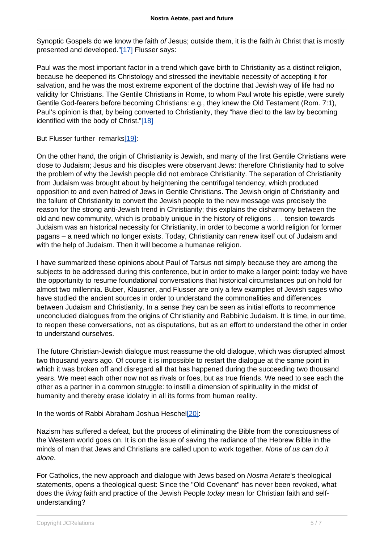Synoptic Gospels do we know the faith of Jesus; outside them, it is the faith in Christ that is mostly presented and developed."[17] Flusser says:

Paul was the most important factor in a trend which gave birth to Christianity as a distinct religion, because he deepened its Christology and stressed the inevitable necessity of accepting it for salvation, and he was the most extreme exponent of the doctrine that Jewish way of life had no validity for Christians. The Gentile Christians in Rome, to whom Paul wrote his epistle, were surely Gentile God-fearers before becoming Christians: e.g., they knew the Old Testament (Rom. 7:1), Paul's opinion is that, by being converted to Christianity, they "have died to the law by becoming identified with the body of Christ."[18]

But Flusser further remarks[19]:

On the other hand, the origin of Christianity is Jewish, and many of the first Gentile Christians were close to Judaism; Jesus and his disciples were observant Jews: therefore Christianity had to solve the problem of why the Jewish people did not embrace Christianity. The separation of Christianity from Judaism was brought about by heightening the centrifugal tendency, which produced opposition to and even hatred of Jews in Gentile Christians. The Jewish origin of Christianity and the failure of Christianity to convert the Jewish people to the new message was precisely the reason for the strong anti-Jewish trend in Christianity; this explains the disharmony between the old and new community, which is probably unique in the history of religions . . . tension towards Judaism was an historical necessity for Christianity, in order to become a world religion for former pagans – a need which no longer exists. Today, Christianity can renew itself out of Judaism and with the help of Judaism. Then it will become a humanae religion.

I have summarized these opinions about Paul of Tarsus not simply because they are among the subjects to be addressed during this conference, but in order to make a larger point: today we have the opportunity to resume foundational conversations that historical circumstances put on hold for almost two millennia. Buber, Klausner, and Flusser are only a few examples of Jewish sages who have studied the ancient sources in order to understand the commonalities and differences between Judaism and Christianity. In a sense they can be seen as initial efforts to recommence unconcluded dialogues from the origins of Christianity and Rabbinic Judaism. It is time, in our time, to reopen these conversations, not as disputations, but as an effort to understand the other in order to understand ourselves.

The future Christian-Jewish dialogue must reassume the old dialogue, which was disrupted almost two thousand years ago. Of course it is impossible to restart the dialogue at the same point in which it was broken off and disregard all that has happened during the succeeding two thousand years. We meet each other now not as rivals or foes, but as true friends. We need to see each the other as a partner in a common struggle: to instill a dimension of spirituality in the midst of humanity and thereby erase idolatry in all its forms from human reality.

In the words of Rabbi Abraham Joshua Heschel[20]:

Nazism has suffered a defeat, but the process of eliminating the Bible from the consciousness of the Western world goes on. It is on the issue of saving the radiance of the Hebrew Bible in the minds of man that Jews and Christians are called upon to work together. None of us can do it alone.

For Catholics, the new approach and dialogue with Jews based on Nostra Aetate's theological statements, opens a theological quest: Since the "Old Covenant" has never been revoked, what does the living faith and practice of the Jewish People today mean for Christian faith and selfunderstanding?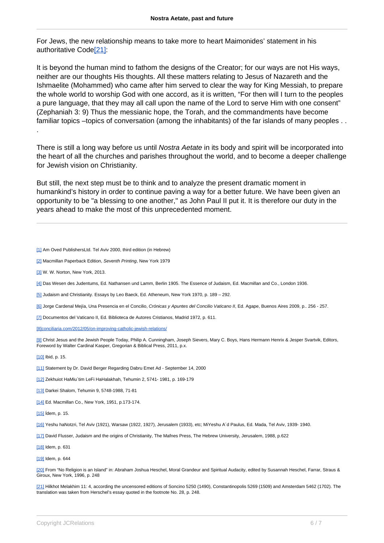For Jews, the new relationship means to take more to heart Maimonides' statement in his authoritative Code[21]:

It is beyond the human mind to fathom the designs of the Creator; for our ways are not His ways, neither are our thoughts His thoughts. All these matters relating to Jesus of Nazareth and the Ishmaelite (Mohammed) who came after him served to clear the way for King Messiah, to prepare the whole world to worship God with one accord, as it is written, "For then will I turn to the peoples a pure language, that they may all call upon the name of the Lord to serve Him with one consent" (Zephaniah 3: 9) Thus the messianic hope, the Torah, and the commandments have become familiar topics –topics of conversation (among the inhabitants) of the far islands of many peoples . . .

There is still a long way before us until Nostra Aetate in its body and spirit will be incorporated into the heart of all the churches and parishes throughout the world, and to become a deeper challenge for Jewish vision on Christianity.

But still, the next step must be to think and to analyze the present dramatic moment in humankind's history in order to continue paving a way for a better future. We have been given an opportunity to be "a blessing to one another," as John Paul II put it. It is therefore our duty in the years ahead to make the most of this unprecedented moment.

- [3] W. W. Norton, New York, 2013.
- [4] Das Wesen des Judentums, Ed. Nathansen und Lamm, Berlin 1905. The Essence of Judaism, Ed. Macmillan and Co., London 1936.
- [5] Judaism and Christianity. Essays by Leo Baeck, Ed. Atheneum, New York 1970, p. 189 292.
- [6] Jorge Cardenal Mejía, Una Presencia en el Concilio, Crónicas y Apuntes del Concilio Vaticano II, Ed. Agape, Buenos Aires 2009, p.. 256 257.
- [7] Documentos del Vaticano II, Ed. Biblioteca de Autores Cristianos, Madrid 1972, p. 611.

[8][conciliaria.com/2012/05/on-improving-catholic-jewish-relations/](http://conciliaria.com/2012/05/on-improving-catholic-jewish-relations/)

[9] Christ Jesus and the Jewish People Today, Philip A. Cunningham, Joseph Sievers, Mary C. Boys, Hans Hermann Henrix & Jesper Svartvik, Editors, Foreword by Walter Cardinal Kasper, Gregorian & Biblical Press, 2011, p.x.

[10] Ibid, p. 15.

[11] Statement by Dr. David Berger Regarding Dabru Emet Ad - September 14, 2000

[12] Zekhuiot HaMiu'tim LeFi HaHalakhah, Tehumin 2, 5741- 1981, p. 169-179

- [13] Darkei Shalom, Tehumin 9, 5748-1988, 71-81
- [14] Ed. Macmillan Co., New York, 1951, p.173-174.
- [15] Ídem, p. 15.
- [16] Yeshu haNotzri, Tel Aviv (1921), Warsaw (1922, 1927), Jerusalem (1933), etc; MiYeshu A´d Paulus, Ed. Mada, Tel Aviv, 1939- 1940.
- [17] David Flusser, Judaism and the origins of Christianity, The Mafnes Press, The Hebrew University, Jerusalem, 1988, p.622
- [18] Idem, p. 631
- [19] Idem, p. 644

[20] From "No Religion is an Island" in: Abraham Joshua Heschel, Moral Grandeur and Spiritual Audacity, edited by Susannah Heschel, Farrar, Straus & Giroux, New York, 1996, p. 248

[21] Hilkhot Melakhim 11: 4, according the uncensored editions of Soncino 5250 (1490), Constantinopolis 5269 (1509) and Amsterdam 5462 (1702). The translation was taken from Herschel's essay quoted in the footnote No. 28, p. 248.

<sup>[1]</sup> Am Oved PublishersLtd. Tel Aviv 2000, third edition (in Hebrew)

<sup>[2]</sup> Macmillan Paperback Edition, Seventh Printing, New York 1979